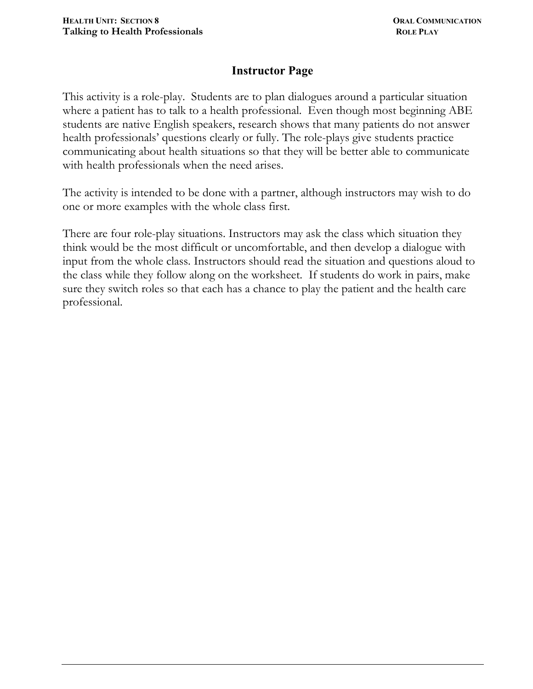## **Instructor Page**

This activity is a role-play. Students are to plan dialogues around a particular situation where a patient has to talk to a health professional. Even though most beginning ABE students are native English speakers, research shows that many patients do not answer health professionals' questions clearly or fully. The role-plays give students practice communicating about health situations so that they will be better able to communicate with health professionals when the need arises.

The activity is intended to be done with a partner, although instructors may wish to do one or more examples with the whole class first.

There are four role-play situations. Instructors may ask the class which situation they think would be the most difficult or uncomfortable, and then develop a dialogue with input from the whole class. Instructors should read the situation and questions aloud to the class while they follow along on the worksheet. If students do work in pairs, make sure they switch roles so that each has a chance to play the patient and the health care professional.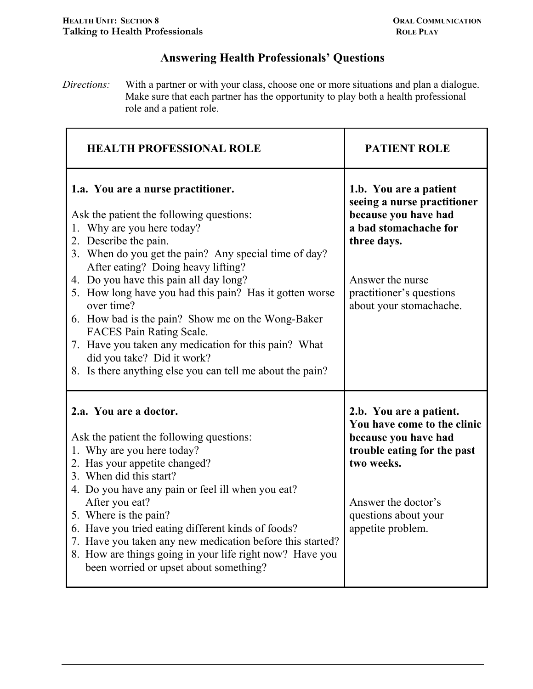## **Answering Health Professionals' Questions**

*Directions:* With a partner or with your class, choose one or more situations and plan a dialogue. Make sure that each partner has the opportunity to play both a health professional role and a patient role.

| <b>HEALTH PROFESSIONAL ROLE</b>                                                                                                                                                                                                                                                                                                                                                                                                                                                                                                                                                                    | <b>PATIENT ROLE</b>                                                                                                                                                                              |
|----------------------------------------------------------------------------------------------------------------------------------------------------------------------------------------------------------------------------------------------------------------------------------------------------------------------------------------------------------------------------------------------------------------------------------------------------------------------------------------------------------------------------------------------------------------------------------------------------|--------------------------------------------------------------------------------------------------------------------------------------------------------------------------------------------------|
| 1.a. You are a nurse practitioner.<br>Ask the patient the following questions:<br>1. Why are you here today?<br>2. Describe the pain.<br>3. When do you get the pain? Any special time of day?<br>After eating? Doing heavy lifting?<br>4. Do you have this pain all day long?<br>5. How long have you had this pain? Has it gotten worse<br>over time?<br>6. How bad is the pain? Show me on the Wong-Baker<br><b>FACES Pain Rating Scale.</b><br>7. Have you taken any medication for this pain? What<br>did you take? Did it work?<br>8. Is there anything else you can tell me about the pain? | 1.b. You are a patient<br>seeing a nurse practitioner<br>because you have had<br>a bad stomachache for<br>three days.<br>Answer the nurse<br>practitioner's questions<br>about your stomachache. |
| 2.a. You are a doctor.<br>Ask the patient the following questions:<br>1. Why are you here today?<br>2. Has your appetite changed?<br>3. When did this start?<br>4. Do you have any pain or feel ill when you eat?<br>After you eat?<br>5. Where is the pain?<br>6. Have you tried eating different kinds of foods?<br>7. Have you taken any new medication before this started?<br>8. How are things going in your life right now? Have you<br>been worried or upset about something?                                                                                                              | 2.b. You are a patient.<br>You have come to the clinic<br>because you have had<br>trouble eating for the past<br>two weeks.<br>Answer the doctor's<br>questions about your<br>appetite problem.  |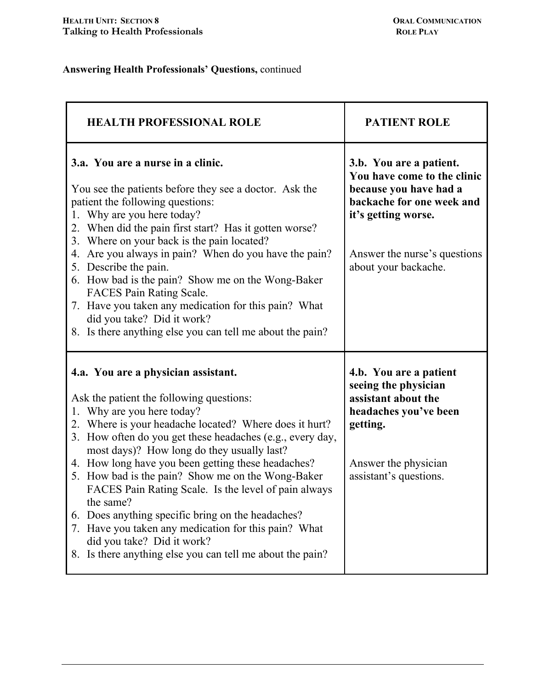## **Answering Health Professionals' Questions,** continued

| <b>HEALTH PROFESSIONAL ROLE</b>                                                                                                                                                                                                                                                                                                                                                                                                                                                                                                                                                                                                                                                                | <b>PATIENT ROLE</b>                                                                                                                                                                          |
|------------------------------------------------------------------------------------------------------------------------------------------------------------------------------------------------------------------------------------------------------------------------------------------------------------------------------------------------------------------------------------------------------------------------------------------------------------------------------------------------------------------------------------------------------------------------------------------------------------------------------------------------------------------------------------------------|----------------------------------------------------------------------------------------------------------------------------------------------------------------------------------------------|
| 3.a. You are a nurse in a clinic.<br>You see the patients before they see a doctor. Ask the<br>patient the following questions:<br>1. Why are you here today?<br>When did the pain first start? Has it gotten worse?<br>2.<br>3. Where on your back is the pain located?<br>Are you always in pain? When do you have the pain?<br>4.<br>5. Describe the pain.<br>6. How bad is the pain? Show me on the Wong-Baker<br><b>FACES Pain Rating Scale.</b><br>7. Have you taken any medication for this pain? What<br>did you take? Did it work?<br>8. Is there anything else you can tell me about the pain?                                                                                       | 3.b. You are a patient.<br>You have come to the clinic<br>because you have had a<br>backache for one week and<br>it's getting worse.<br>Answer the nurse's questions<br>about your backache. |
| 4.a. You are a physician assistant.<br>Ask the patient the following questions:<br>Why are you here today?<br>1.<br>2. Where is your headache located? Where does it hurt?<br>How often do you get these headaches (e.g., every day,<br>$3_{-}$<br>most days)? How long do they usually last?<br>4. How long have you been getting these headaches?<br>5. How bad is the pain? Show me on the Wong-Baker<br>FACES Pain Rating Scale. Is the level of pain always<br>the same?<br>Does anything specific bring on the headaches?<br>6.<br>Have you taken any medication for this pain? What<br>7.<br>did you take? Did it work?<br>Is there anything else you can tell me about the pain?<br>8. | 4.b. You are a patient<br>seeing the physician<br>assistant about the<br>headaches you've been<br>getting.<br>Answer the physician<br>assistant's questions.                                 |